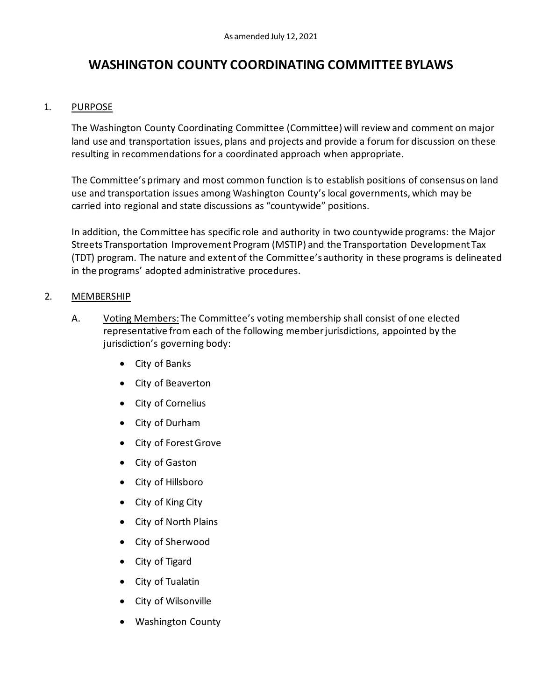# **WASHINGTON COUNTY COORDINATING COMMITTEE BYLAWS**

### 1. PURPOSE

The Washington County Coordinating Committee (Committee) will review and comment on major land use and transportation issues, plans and projects and provide a forum for discussion on these resulting in recommendations for a coordinated approach when appropriate.

The Committee's primary and most common function is to establish positions of consensus on land use and transportation issues among Washington County's local governments, which may be carried into regional and state discussions as "countywide" positions.

In addition, the Committee has specific role and authority in two countywide programs: the Major Streets Transportation Improvement Program (MSTIP) and the Transportation Development Tax (TDT) program. The nature and extent of the Committee's authority in these programs is delineated in the programs' adopted administrative procedures.

#### 2. MEMBERSHIP

- A. Voting Members: The Committee's voting membership shall consist of one elected representative from each of the following member jurisdictions, appointed by the jurisdiction's governing body:
	- City of Banks
	- City of Beaverton
	- City of Cornelius
	- City of Durham
	- City of Forest Grove
	- City of Gaston
	- City of Hillsboro
	- City of King City
	- City of North Plains
	- City of Sherwood
	- City of Tigard
	- City of Tualatin
	- City of Wilsonville
	- Washington County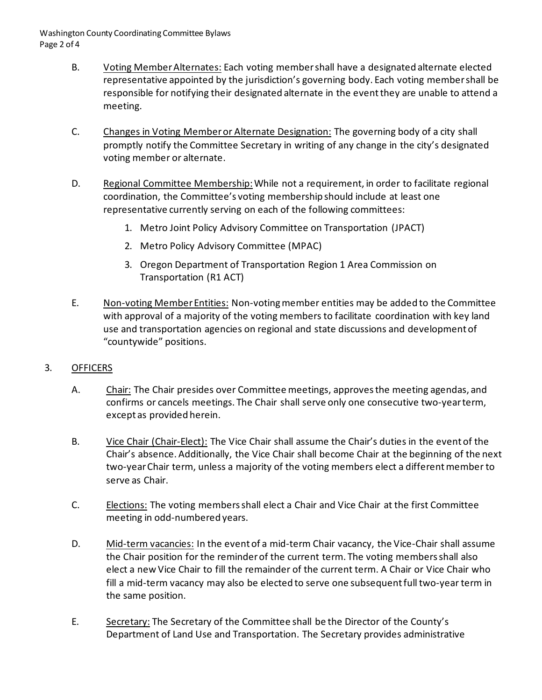- B. Voting Member Alternates: Each voting member shall have a designated alternate elected representative appointed by the jurisdiction's governing body. Each voting member shall be responsible for notifying their designated alternate in the event they are unable to attend a meeting.
- C. Changes in Voting Member or Alternate Designation: The governing body of a city shall promptly notify the Committee Secretary in writing of any change in the city's designated voting member or alternate.
- D. Regional Committee Membership: While not a requirement, in order to facilitate regional coordination, the Committee's voting membership should include at least one representative currently serving on each of the following committees:
	- 1. Metro Joint Policy Advisory Committee on Transportation (JPACT)
	- 2. Metro Policy Advisory Committee (MPAC)
	- 3. Oregon Department of Transportation Region 1 Area Commission on Transportation (R1 ACT)
- E. Non-voting Member Entities: Non-voting member entities may be added to the Committee with approval of a majority of the voting members to facilitate coordination with key land use and transportation agencies on regional and state discussions and development of "countywide" positions.

#### 3. OFFICERS

- A. Chair: The Chair presides over Committee meetings, approves the meeting agendas, and confirms or cancels meetings. The Chair shall serve only one consecutive two-year term, except as provided herein.
- B. Vice Chair (Chair-Elect): The Vice Chair shall assume the Chair's duties in the event of the Chair's absence. Additionally, the Vice Chair shall become Chair at the beginning of the next two-year Chair term, unless a majority of the voting members elect a different member to serve as Chair.
- C. Elections: The voting members shall elect a Chair and Vice Chair at the first Committee meeting in odd-numbered years.
- D. Mid-term vacancies: In the event of a mid-term Chair vacancy, the Vice-Chair shall assume the Chair position for the reminder of the current term. The voting members shall also elect a new Vice Chair to fill the remainder of the current term. A Chair or Vice Chair who fill a mid-term vacancy may also be elected to serve one subsequentfull two-year term in the same position.
- E. Secretary: The Secretary of the Committee shall be the Director of the County's Department of Land Use and Transportation. The Secretary provides administrative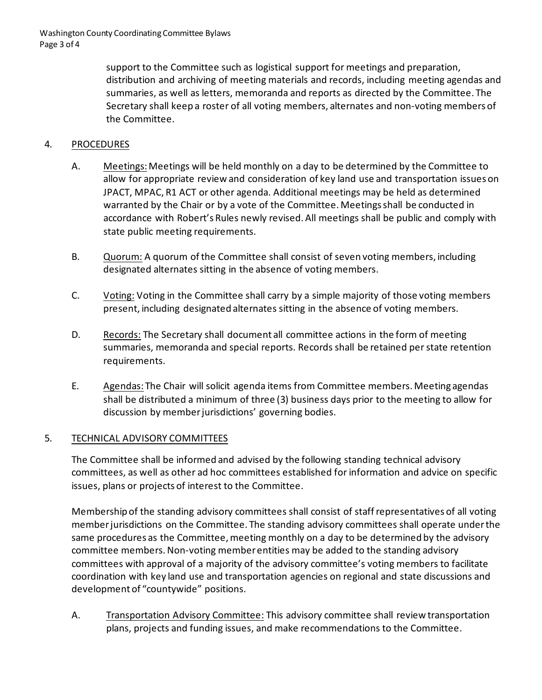support to the Committee such as logistical support for meetings and preparation, distribution and archiving of meeting materials and records, including meeting agendas and summaries, as well as letters, memoranda and reports as directed by the Committee. The Secretary shall keep a roster of all voting members, alternates and non-voting members of the Committee.

## 4. PROCEDURES

- A. Meetings:Meetings will be held monthly on a day to be determined by the Committee to allow for appropriate review and consideration of key land use and transportation issues on JPACT, MPAC, R1 ACT or other agenda. Additional meetings may be held as determined warranted by the Chair or by a vote of the Committee. Meetings shall be conducted in accordance with Robert's Rules newly revised. All meetings shall be public and comply with state public meeting requirements.
- B. Quorum: A quorum of the Committee shall consist of seven voting members, including designated alternates sitting in the absence of voting members.
- C. Voting: Voting in the Committee shall carry by a simple majority of those voting members present, including designated alternates sitting in the absence of voting members.
- D. Records: The Secretary shall document all committee actions in the form of meeting summaries, memoranda and special reports. Records shall be retained per state retention requirements.
- E. Agendas: The Chair will solicit agenda items from Committee members. Meeting agendas shall be distributed a minimum of three (3) business days prior to the meeting to allow for discussion by member jurisdictions' governing bodies.

#### 5. TECHNICAL ADVISORY COMMITTEES

The Committee shall be informed and advised by the following standing technical advisory committees, as well as other ad hoc committees established for information and advice on specific issues, plans or projects of interest to the Committee.

Membership of the standing advisory committees shall consist of staff representatives of all voting member jurisdictions on the Committee. The standing advisory committees shall operate under the same procedures as the Committee, meeting monthly on a day to be determined by the advisory committee members. Non-voting memberentities may be added to the standing advisory committees with approval of a majority of the advisory committee's voting members to facilitate coordination with key land use and transportation agencies on regional and state discussions and development of "countywide" positions.

A. Transportation Advisory Committee: This advisory committee shall review transportation plans, projects and funding issues, and make recommendations to the Committee.